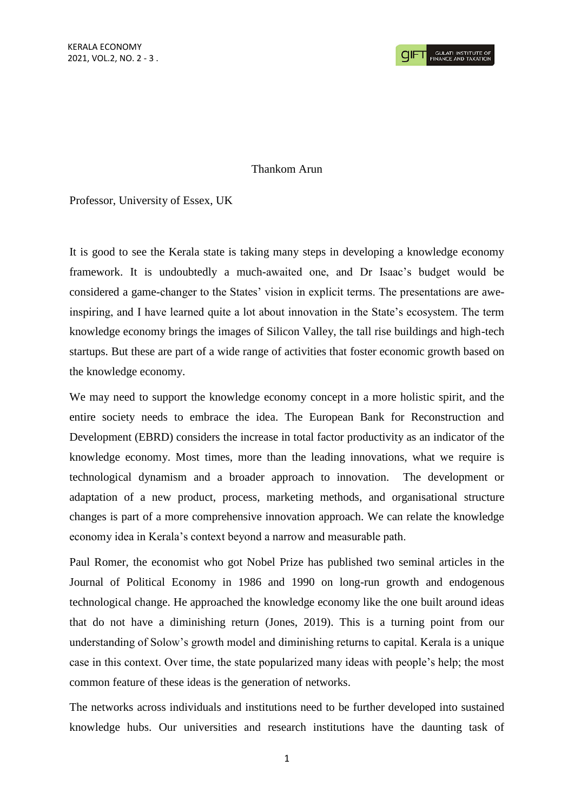## Thankom Arun

Professor, University of Essex, UK

It is good to see the Kerala state is taking many steps in developing a knowledge economy framework. It is undoubtedly a much-awaited one, and Dr Isaac's budget would be considered a game-changer to the States' vision in explicit terms. The presentations are aweinspiring, and I have learned quite a lot about innovation in the State's ecosystem. The term knowledge economy brings the images of Silicon Valley, the tall rise buildings and high-tech startups. But these are part of a wide range of activities that foster economic growth based on the knowledge economy.

We may need to support the knowledge economy concept in a more holistic spirit, and the entire society needs to embrace the idea. The European Bank for Reconstruction and Development (EBRD) considers the increase in total factor productivity as an indicator of the knowledge economy. Most times, more than the leading innovations, what we require is technological dynamism and a broader approach to innovation. The development or adaptation of a new product, process, marketing methods, and organisational structure changes is part of a more comprehensive innovation approach. We can relate the knowledge economy idea in Kerala's context beyond a narrow and measurable path.

Paul Romer, the economist who got Nobel Prize has published two seminal articles in the Journal of Political Economy in 1986 and 1990 on long-run growth and endogenous technological change. He approached the knowledge economy like the one built around ideas that do not have a diminishing return (Jones, 2019). This is a turning point from our understanding of Solow's growth model and diminishing returns to capital. Kerala is a unique case in this context. Over time, the state popularized many ideas with people's help; the most common feature of these ideas is the generation of networks.

The networks across individuals and institutions need to be further developed into sustained knowledge hubs. Our universities and research institutions have the daunting task of